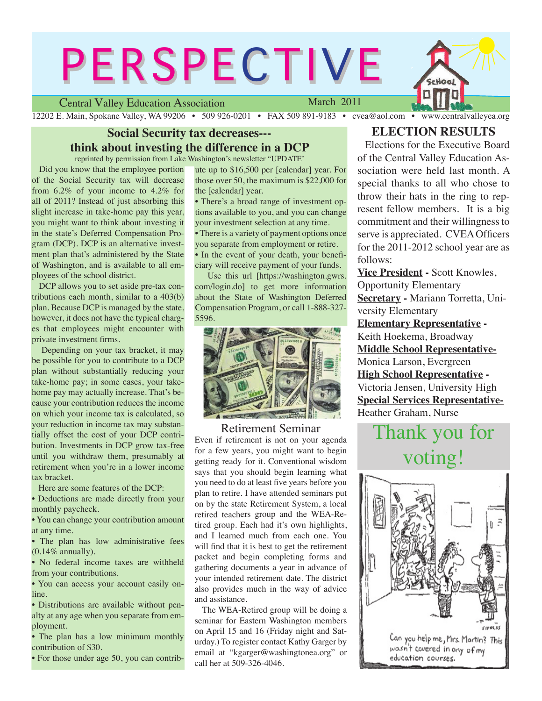# **PERSPECTIVE**

Central Valley Education Association

March 2011

12202 E. Main, Spokane Valley, WA 99206 • 509 926-0201 • FAX 509 891-9183 • cvea@aol.com • www.centralvalleyea.org

# **Social Security tax decreases-- think about investing the difference in a DCP**

reprinted by permission from Lake Washington's newsletter "UPDATE'

 Did you know that the employee portion of the Social Security tax will decrease from 6.2% of your income to 4.2% for all of 2011? Instead of just absorbing this slight increase in take-home pay this year, you might want to think about investing it in the state's Deferred Compensation Program (DCP). DCP is an alternative investment plan that's administered by the State of Washington, and is available to all employees of the school district.

 DCP allows you to set aside pre-tax contributions each month, similar to a 403(b) plan. Because DCP is managed by the state, however, it does not have the typical charges that employees might encounter with private investment firms.

 Depending on your tax bracket, it may be possible for you to contribute to a DCP plan without substantially reducing your take-home pay; in some cases, your takehome pay may actually increase. That's because your contribution reduces the income on which your income tax is calculated, so your reduction in income tax may substantially offset the cost of your DCP contribution. Investments in DCP grow tax-free until you withdraw them, presumably at retirement when you're in a lower income tax bracket.

Here are some features of the DCP:

• Deductions are made directly from your monthly paycheck.

• You can change your contribution amount at any time.

• The plan has low administrative fees  $(0.14\%$  annually).

• No federal income taxes are withheld from your contributions.

• You can access your account easily online.

• Distributions are available without penalty at any age when you separate from employment.

• The plan has a low minimum monthly contribution of \$30.

• For those under age 50, you can contrib-

ute up to \$16,500 per [calendar] year. For those over 50, the maximum is \$22,000 for the [calendar] year.

• There's a broad range of investment options available to you, and you can change your investment selection at any time.

• There is a variety of payment options once you separate from employment or retire. • In the event of your death, your beneficiary will receive payment of your funds.

 Use this url [https://washington.gwrs. com/login.do] to get more information about the State of Washington Deferred Compensation Program, or call 1-888-327- 5596.



# Retirement Seminar

Even if retirement is not on your agenda for a few years, you might want to begin getting ready for it. Conventional wisdom says that you should begin learning what you need to do at least five years before you plan to retire. I have attended seminars put on by the state Retirement System, a local retired teachers group and the WEA-Retired group. Each had it's own highlights, and I learned much from each one. You will find that it is best to get the retirement packet and begin completing forms and gathering documents a year in advance of your intended retirement date. The district also provides much in the way of advice and assistance.

 The WEA-Retired group will be doing a seminar for Eastern Washington members on April 15 and 16 (Friday night and Saturday.) To register contact Kathy Garger by email at "kgarger@washingtonea.org" or call her at 509-326-4046.

# **ELECTION RESULTS**

 Elections for the Executive Board of the Central Valley Education Association were held last month. A special thanks to all who chose to throw their hats in the ring to represent fellow members. It is a big commitment and their willingness to serve is appreciated. CVEA Officers for the 2011-2012 school year are as follows:

**Vice President -** Scott Knowles, Opportunity Elementary **Secretary -** Mariann Torretta, University Elementary

**Elementary Representative -**  Keith Hoekema, Broadway **Middle School Representative-**Monica Larson, Evergreen **High School Representative -**  Victoria Jensen, University High **Special Services Representative-**Heather Graham, Nurse

# Thank you for voting!